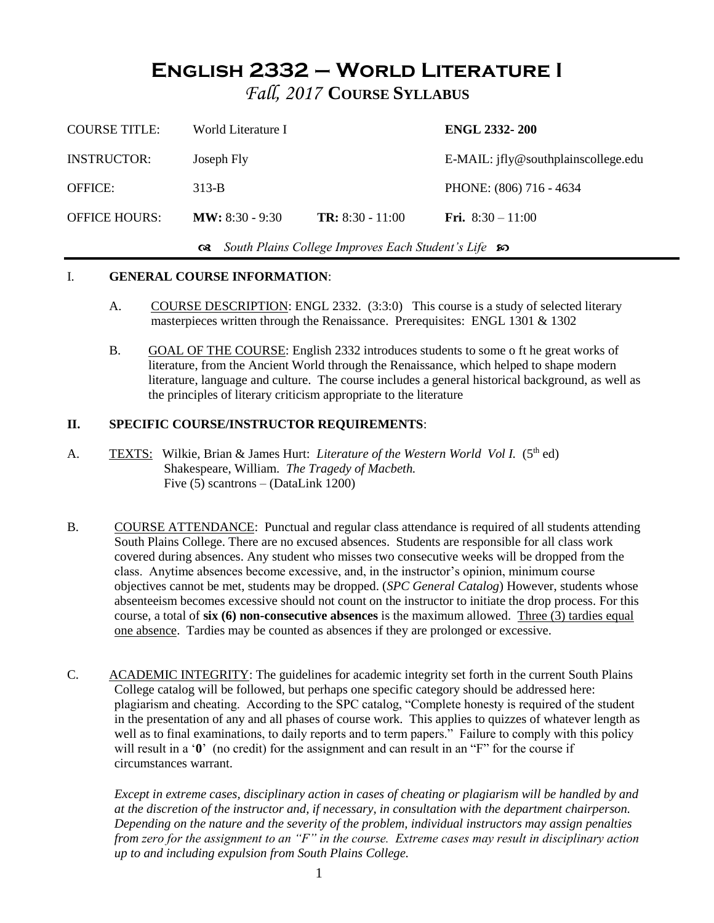# **English 2332 – World Literature I**

*Fall, 2017* **COURSE SYLLABUS**

| <b>COURSE TITLE:</b>                                     | World Literature I        |                         | <b>ENGL 2332-200</b>                |  |
|----------------------------------------------------------|---------------------------|-------------------------|-------------------------------------|--|
| <b>INSTRUCTOR:</b>                                       | Joseph Fly                |                         | E-MAIL: jfly@southplainscollege.edu |  |
| <b>OFFICE:</b>                                           | $313-B$                   |                         | PHONE: (806) 716 - 4634             |  |
| <b>OFFICE HOURS:</b>                                     | <b>MW</b> : $8:30 - 9:30$ | <b>TR:</b> 8:30 - 11:00 | <b>Fri.</b> $8:30 - 11:00$          |  |
| Get South Plains College Improves Each Student's Life so |                           |                         |                                     |  |

### I. **GENERAL COURSE INFORMATION**:

- A. COURSE DESCRIPTION: ENGL 2332. (3:3:0) This course is a study of selected literary masterpieces written through the Renaissance. Prerequisites: ENGL 1301 & 1302
- B. GOAL OF THE COURSE: English 2332 introduces students to some o ft he great works of literature, from the Ancient World through the Renaissance, which helped to shape modern literature, language and culture. The course includes a general historical background, as well as the principles of literary criticism appropriate to the literature

### **II. SPECIFIC COURSE/INSTRUCTOR REQUIREMENTS**:

- A. TEXTS: Wilkie, Brian & James Hurt: *Literature of the Western World Vol I.* (5<sup>th</sup> ed) Shakespeare, William. *The Tragedy of Macbeth.* Five (5) scantrons – (DataLink 1200)
- B. COURSE ATTENDANCE: Punctual and regular class attendance is required of all students attending South Plains College. There are no excused absences. Students are responsible for all class work covered during absences. Any student who misses two consecutive weeks will be dropped from the class. Anytime absences become excessive, and, in the instructor's opinion, minimum course objectives cannot be met, students may be dropped. (*SPC General Catalog*) However, students whose absenteeism becomes excessive should not count on the instructor to initiate the drop process. For this course, a total of **six (6) non-consecutive absences** is the maximum allowed. Three (3) tardies equal one absence. Tardies may be counted as absences if they are prolonged or excessive.

C. ACADEMIC INTEGRITY: The guidelines for academic integrity set forth in the current South Plains College catalog will be followed, but perhaps one specific category should be addressed here: plagiarism and cheating. According to the SPC catalog, "Complete honesty is required of the student in the presentation of any and all phases of course work. This applies to quizzes of whatever length as well as to final examinations, to daily reports and to term papers." Failure to comply with this policy will result in a ' $\mathbf{0}'$ ' (no credit) for the assignment and can result in an "F" for the course if circumstances warrant.

*Except in extreme cases, disciplinary action in cases of cheating or plagiarism will be handled by and at the discretion of the instructor and, if necessary, in consultation with the department chairperson. Depending on the nature and the severity of the problem, individual instructors may assign penalties from zero for the assignment to an "F" in the course. Extreme cases may result in disciplinary action up to and including expulsion from South Plains College.*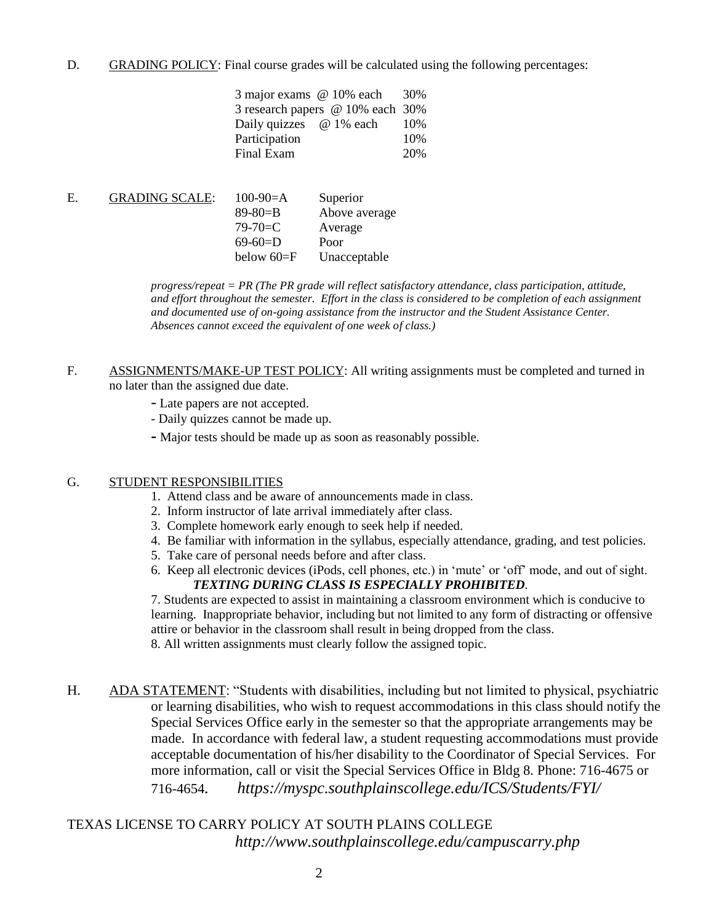D. GRADING POLICY: Final course grades will be calculated using the following percentages:

| 3 major exams @ 10% each         | 30%  |
|----------------------------------|------|
| 3 research papers @ 10% each 30% |      |
| Daily quizzes @ 1% each          | 10\% |
| Participation                    | 10%  |
| Final Exam                       | 20%  |

| <b>GRADING SCALE:</b> | $100-90=A$     | Superior      |
|-----------------------|----------------|---------------|
|                       | $89 - 80 = B$  | Above average |
|                       | $79 - 70 = C$  | Average       |
|                       | $69-60=$ D     | Poor          |
|                       | below $60 = F$ | Unacceptable  |
|                       |                |               |

*progress/repeat = PR (The PR grade will reflect satisfactory attendance, class participation, attitude, and effort throughout the semester. Effort in the class is considered to be completion of each assignment and documented use of on-going assistance from the instructor and the Student Assistance Center. Absences cannot exceed the equivalent of one week of class.)*

F. ASSIGNMENTS/MAKE-UP TEST POLICY: All writing assignments must be completed and turned in no later than the assigned due date.

- Late papers are not accepted.
- Daily quizzes cannot be made up.
- **-** Major tests should be made up as soon as reasonably possible.

#### G. STUDENT RESPONSIBILITIES

- 1. Attend class and be aware of announcements made in class.
- 2. Inform instructor of late arrival immediately after class.
- 3. Complete homework early enough to seek help if needed.
- 4. Be familiar with information in the syllabus, especially attendance, grading, and test policies.
- 5. Take care of personal needs before and after class.
- 6. Keep all electronic devices (iPods, cell phones, etc.) in 'mute' or 'off' mode, and out of sight. *TEXTING DURING CLASS IS ESPECIALLY PROHIBITED.*

7. Students are expected to assist in maintaining a classroom environment which is conducive to learning. Inappropriate behavior, including but not limited to any form of distracting or offensive attire or behavior in the classroom shall result in being dropped from the class.

8. All written assignments must clearly follow the assigned topic.

H. ADA STATEMENT: "Students with disabilities, including but not limited to physical, psychiatric or learning disabilities, who wish to request accommodations in this class should notify the Special Services Office early in the semester so that the appropriate arrangements may be made. In accordance with federal law, a student requesting accommodations must provide acceptable documentation of his/her disability to the Coordinator of Special Services. For more information, call or visit the Special Services Office in Bldg 8. Phone: 716-4675 or 716-4654*. https://myspc.southplainscollege.edu/ICS/Students/FYI/*

# TEXAS LICENSE TO CARRY POLICY AT SOUTH PLAINS COLLEGE *http://www.southplainscollege.edu/campuscarry.php*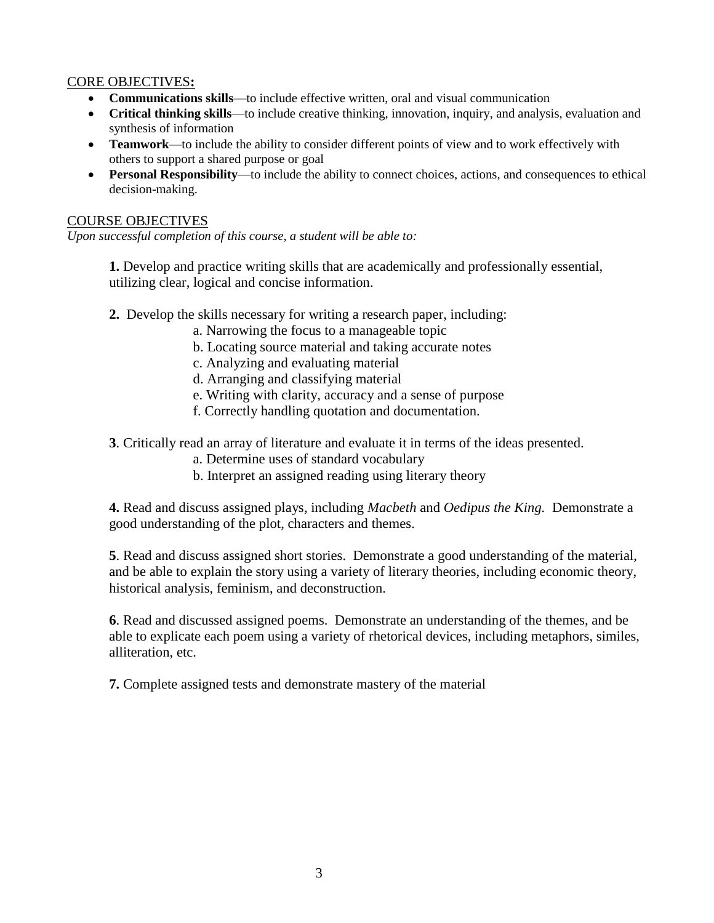## CORE OBJECTIVES**:**

- **Communications skills**—to include effective written, oral and visual communication
- **Critical thinking skills**—to include creative thinking, innovation, inquiry, and analysis, evaluation and synthesis of information
- **Teamwork**—to include the ability to consider different points of view and to work effectively with others to support a shared purpose or goal
- **Personal Responsibility**—to include the ability to connect choices, actions, and consequences to ethical decision-making.

### COURSE OBJECTIVES

*Upon successful completion of this course, a student will be able to:*

**1.** Develop and practice writing skills that are academically and professionally essential, utilizing clear, logical and concise information.

- **2.** Develop the skills necessary for writing a research paper, including:
	- a. Narrowing the focus to a manageable topic
	- b. Locating source material and taking accurate notes
	- c. Analyzing and evaluating material
	- d. Arranging and classifying material
	- e. Writing with clarity, accuracy and a sense of purpose
	- f. Correctly handling quotation and documentation.
- **3**. Critically read an array of literature and evaluate it in terms of the ideas presented.
	- a. Determine uses of standard vocabulary
	- b. Interpret an assigned reading using literary theory

**4.** Read and discuss assigned plays, including *Macbeth* and *Oedipus the King.* Demonstrate a good understanding of the plot, characters and themes.

**5**. Read and discuss assigned short stories. Demonstrate a good understanding of the material, and be able to explain the story using a variety of literary theories, including economic theory, historical analysis, feminism, and deconstruction.

**6**. Read and discussed assigned poems. Demonstrate an understanding of the themes, and be able to explicate each poem using a variety of rhetorical devices, including metaphors, similes, alliteration, etc.

**7.** Complete assigned tests and demonstrate mastery of the material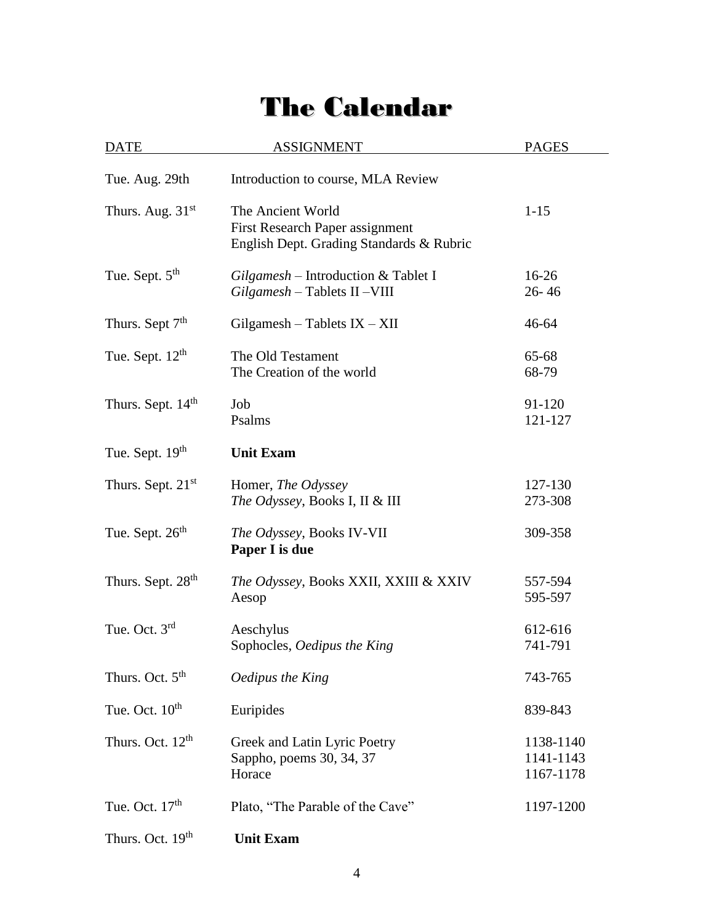# The Calendar

 $\overline{a}$ 

| <b>DATE</b>                   | <b>ASSIGNMENT</b>                                                                                | <b>PAGES</b>                        |
|-------------------------------|--------------------------------------------------------------------------------------------------|-------------------------------------|
| Tue. Aug. 29th                | Introduction to course, MLA Review                                                               |                                     |
| Thurs. Aug. $31st$            | The Ancient World<br>First Research Paper assignment<br>English Dept. Grading Standards & Rubric | $1 - 15$                            |
| Tue. Sept. 5 <sup>th</sup>    | $Gilgamesh - Introduction & Tablet I$<br>$Gilgamesh$ – Tablets II – VIII                         | $16-26$<br>$26 - 46$                |
| Thurs. Sept 7 <sup>th</sup>   | $Gilgamesh - Tables IX - XII$                                                                    | 46-64                               |
| Tue. Sept. $12th$             | The Old Testament<br>The Creation of the world                                                   | 65-68<br>68-79                      |
| Thurs. Sept. 14 <sup>th</sup> | Job<br>Psalms                                                                                    | 91-120<br>121-127                   |
| Tue. Sept. 19th               | <b>Unit Exam</b>                                                                                 |                                     |
| Thurs. Sept. $21st$           | Homer, The Odyssey<br>The Odyssey, Books I, II & III                                             | 127-130<br>273-308                  |
| Tue. Sept. 26 <sup>th</sup>   | <i>The Odyssey</i> , Books IV-VII<br>Paper I is due                                              | 309-358                             |
| Thurs. Sept. 28 <sup>th</sup> | The Odyssey, Books XXII, XXIII & XXIV<br>Aesop                                                   | 557-594<br>595-597                  |
| Tue. Oct. 3rd                 | Aeschylus<br>Sophocles, Oedipus the King                                                         | 612-616<br>741-791                  |
| Thurs. Oct. 5 <sup>th</sup>   | Oedipus the King                                                                                 | 743-765                             |
| Tue. Oct. 10 <sup>th</sup>    | Euripides                                                                                        | 839-843                             |
| Thurs. Oct. 12 <sup>th</sup>  | Greek and Latin Lyric Poetry<br>Sappho, poems 30, 34, 37<br>Horace                               | 1138-1140<br>1141-1143<br>1167-1178 |
| Tue. Oct. $17th$              | Plato, "The Parable of the Cave"                                                                 | 1197-1200                           |
| Thurs. Oct. 19 <sup>th</sup>  | <b>Unit Exam</b>                                                                                 |                                     |